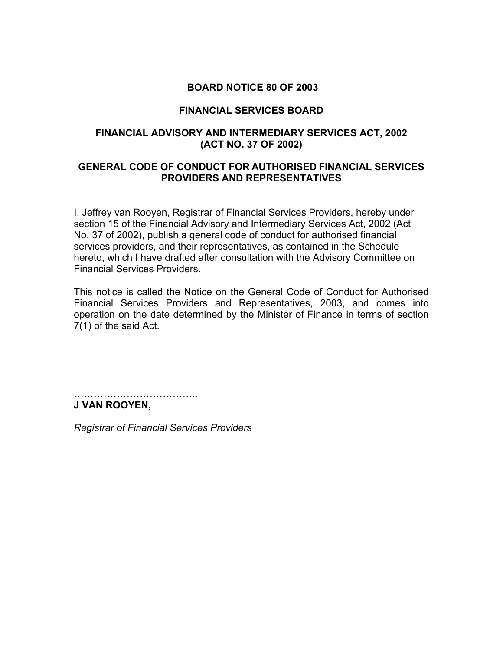# **BOARD NOTICE 80 OF 2003**

# **FINANCIAL SERVICES BOARD**

# **FINANCIAL ADVISORY AND INTERMEDIARY SERVICES ACT, 2002 (ACT NO. 37 OF 2002)**

# **GENERAL CODE OF CONDUCT FOR AUTHORISED FINANCIAL SERVICES PROVIDERS AND REPRESENTATIVES**

I, Jeffrey van Rooyen, Registrar of Financial Services Providers, hereby under section 15 of the Financial Advisory and Intermediary Services Act, 2002 (Act No. 37 of 2002), publish a general code of conduct for authorised financial services providers, and their representatives, as contained in the Schedule hereto, which I have drafted after consultation with the Advisory Committee on Financial Services Providers.

This notice is called the Notice on the General Code of Conduct for Authorised Financial Services Providers and Representatives, 2003, and comes into operation on the date determined by the Minister of Finance in terms of section 7(1) of the said Act.

……………………………….. **J VAN ROOYEN,** 

*Registrar of Financial Services Providers*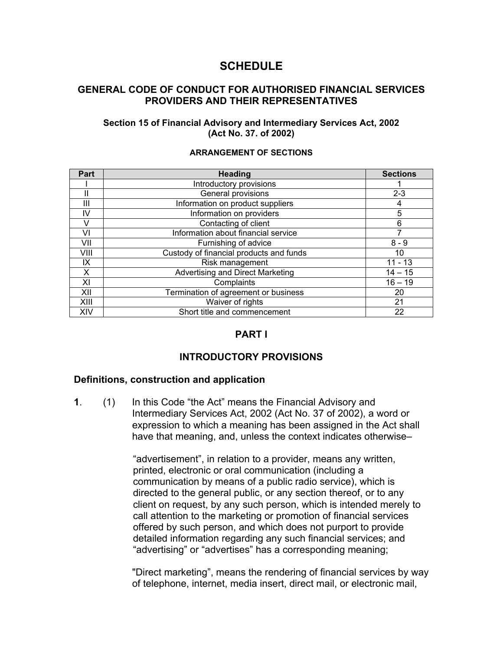# **SCHEDULE**

### **GENERAL CODE OF CONDUCT FOR AUTHORISED FINANCIAL SERVICES PROVIDERS AND THEIR REPRESENTATIVES**

#### **Section 15 of Financial Advisory and Intermediary Services Act, 2002 (Act No. 37. of 2002)**

| Part | <b>Heading</b>                          | <b>Sections</b> |
|------|-----------------------------------------|-----------------|
|      | Introductory provisions                 |                 |
|      | General provisions                      | $2 - 3$         |
| Ш    | Information on product suppliers        | 4               |
| IV   | Information on providers                | 5               |
|      | Contacting of client                    | 6               |
| VI   | Information about financial service     |                 |
| VII  | Furnishing of advice                    | $8 - 9$         |
| VIII | Custody of financial products and funds | 10              |
| IX   | Risk management                         | $11 - 13$       |
| X    | Advertising and Direct Marketing        | $14 - 15$       |
| XI   | Complaints                              | $16 - 19$       |
| XII  | Termination of agreement or business    | 20              |
| XIII | Waiver of rights                        | 21              |
| XIV  | Short title and commencement            | 22              |

#### **ARRANGEMENT OF SECTIONS**

# **PART I**

# **INTRODUCTORY PROVISIONS**

### **Definitions, construction and application**

**1**. (1) In this Code "the Act" means the Financial Advisory and Intermediary Services Act, 2002 (Act No. 37 of 2002), a word or expression to which a meaning has been assigned in the Act shall have that meaning, and, unless the context indicates otherwise–

> "advertisement", in relation to a provider, means any written, printed, electronic or oral communication (including a communication by means of a public radio service), which is directed to the general public, or any section thereof, or to any client on request, by any such person, which is intended merely to call attention to the marketing or promotion of financial services offered by such person, and which does not purport to provide detailed information regarding any such financial services; and "advertising" or "advertises" has a corresponding meaning;

"Direct marketing", means the rendering of financial services by way of telephone, internet, media insert, direct mail, or electronic mail,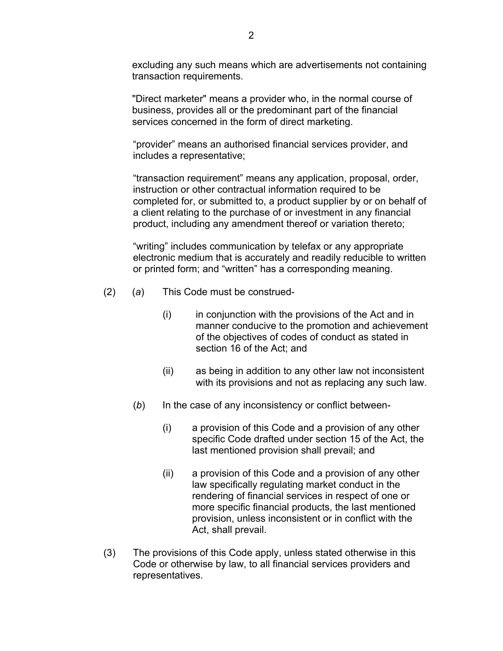excluding any such means which are advertisements not containing transaction requirements.

"Direct marketer" means a provider who, in the normal course of business, provides all or the predominant part of the financial services concerned in the form of direct marketing.

"provider" means an authorised financial services provider, and includes a representative;

"transaction requirement" means any application, proposal, order, instruction or other contractual information required to be completed for, or submitted to, a product supplier by or on behalf of a client relating to the purchase of or investment in any financial product, including any amendment thereof or variation thereto;

 "writing" includes communication by telefax or any appropriate electronic medium that is accurately and readily reducible to written or printed form; and "written" has a corresponding meaning.

- (2) (*a*) This Code must be construed-
	- (i) in conjunction with the provisions of the Act and in manner conducive to the promotion and achievement of the objectives of codes of conduct as stated in section 16 of the Act; and
	- (ii) as being in addition to any other law not inconsistent with its provisions and not as replacing any such law.
	- (*b*) In the case of any inconsistency or conflict between-
		- (i) a provision of this Code and a provision of any other specific Code drafted under section 15 of the Act, the last mentioned provision shall prevail; and
		- (ii) a provision of this Code and a provision of any other law specifically regulating market conduct in the rendering of financial services in respect of one or more specific financial products, the last mentioned provision, unless inconsistent or in conflict with the Act, shall prevail.
- (3) The provisions of this Code apply, unless stated otherwise in this Code or otherwise by law, to all financial services providers and representatives.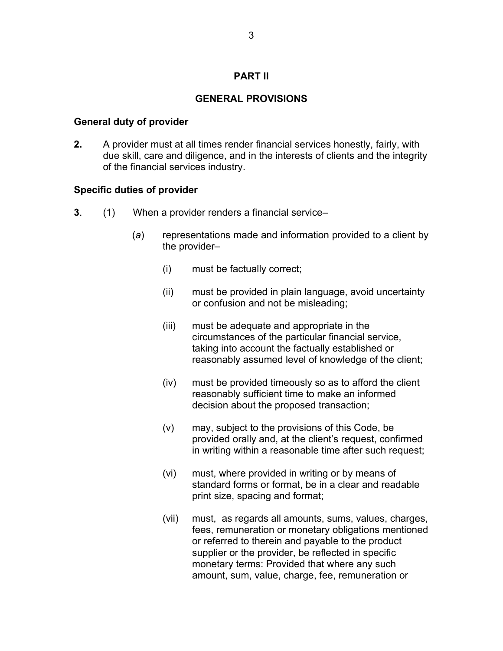# **PART II**

# **GENERAL PROVISIONS**

## **General duty of provider**

**2.** A provider must at all times render financial services honestly, fairly, with due skill, care and diligence, and in the interests of clients and the integrity of the financial services industry.

# **Specific duties of provider**

- **3**. (1) When a provider renders a financial service–
	- (*a*) representations made and information provided to a client by the provider–
		- (i) must be factually correct;
		- (ii) must be provided in plain language, avoid uncertainty or confusion and not be misleading;
		- (iii) must be adequate and appropriate in the circumstances of the particular financial service, taking into account the factually established or reasonably assumed level of knowledge of the client;
		- (iv) must be provided timeously so as to afford the client reasonably sufficient time to make an informed decision about the proposed transaction;
		- (v) may, subject to the provisions of this Code, be provided orally and, at the client's request, confirmed in writing within a reasonable time after such request;
		- (vi) must, where provided in writing or by means of standard forms or format, be in a clear and readable print size, spacing and format;
		- (vii) must, as regards all amounts, sums, values, charges, fees, remuneration or monetary obligations mentioned or referred to therein and payable to the product supplier or the provider, be reflected in specific monetary terms: Provided that where any such amount, sum, value, charge, fee, remuneration or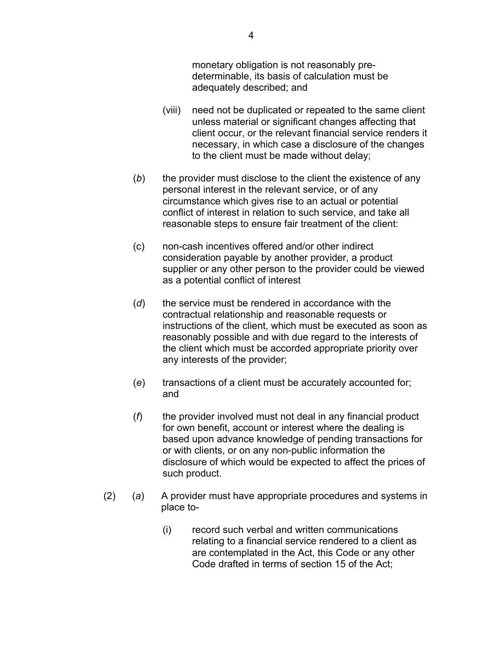monetary obligation is not reasonably predeterminable, its basis of calculation must be adequately described; and

- (viii) need not be duplicated or repeated to the same client unless material or significant changes affecting that client occur, or the relevant financial service renders it necessary, in which case a disclosure of the changes to the client must be made without delay;
- (*b*) the provider must disclose to the client the existence of any personal interest in the relevant service, or of any circumstance which gives rise to an actual or potential conflict of interest in relation to such service, and take all reasonable steps to ensure fair treatment of the client:
- (c) non-cash incentives offered and/or other indirect consideration payable by another provider, a product supplier or any other person to the provider could be viewed as a potential conflict of interest
- (*d*) the service must be rendered in accordance with the contractual relationship and reasonable requests or instructions of the client, which must be executed as soon as reasonably possible and with due regard to the interests of the client which must be accorded appropriate priority over any interests of the provider;
- (*e*) transactions of a client must be accurately accounted for; and
- (*f*) the provider involved must not deal in any financial product for own benefit, account or interest where the dealing is based upon advance knowledge of pending transactions for or with clients, or on any non-public information the disclosure of which would be expected to affect the prices of such product.
- (2) (*a*) A provider must have appropriate procedures and systems in place to-
	- (i) record such verbal and written communications relating to a financial service rendered to a client as are contemplated in the Act, this Code or any other Code drafted in terms of section 15 of the Act;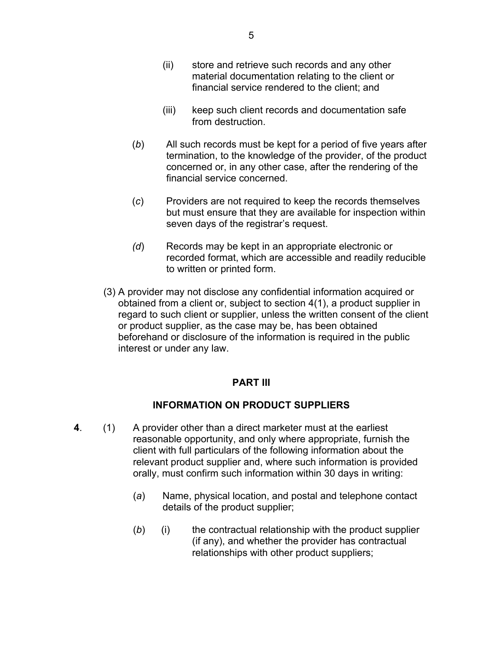- (ii) store and retrieve such records and any other material documentation relating to the client or financial service rendered to the client; and
- (iii) keep such client records and documentation safe from destruction.
- (*b*) All such records must be kept for a period of five years after termination, to the knowledge of the provider, of the product concerned or, in any other case, after the rendering of the financial service concerned.
- (*c*) Providers are not required to keep the records themselves but must ensure that they are available for inspection within seven days of the registrar's request.
- *(d*) Records may be kept in an appropriate electronic or recorded format, which are accessible and readily reducible to written or printed form.
- (3) A provider may not disclose any confidential information acquired or obtained from a client or, subject to section 4(1), a product supplier in regard to such client or supplier, unless the written consent of the client or product supplier, as the case may be, has been obtained beforehand or disclosure of the information is required in the public interest or under any law.

# **PART III**

# **INFORMATION ON PRODUCT SUPPLIERS**

- **4**. (1) A provider other than a direct marketer must at the earliest reasonable opportunity, and only where appropriate, furnish the client with full particulars of the following information about the relevant product supplier and, where such information is provided orally, must confirm such information within 30 days in writing:
	- (*a*) Name, physical location, and postal and telephone contact details of the product supplier;
	- (*b*) (i) the contractual relationship with the product supplier (if any), and whether the provider has contractual relationships with other product suppliers;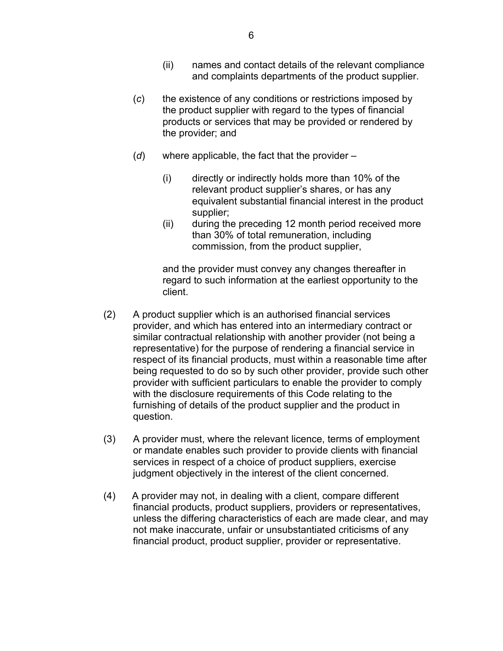- (ii) names and contact details of the relevant compliance and complaints departments of the product supplier.
- (*c*) the existence of any conditions or restrictions imposed by the product supplier with regard to the types of financial products or services that may be provided or rendered by the provider; and
- (*d*) where applicable, the fact that the provider
	- (i) directly or indirectly holds more than 10% of the relevant product supplier's shares, or has any equivalent substantial financial interest in the product supplier;
	- (ii) during the preceding 12 month period received more than 30% of total remuneration, including commission, from the product supplier,

and the provider must convey any changes thereafter in regard to such information at the earliest opportunity to the client.

- (2) A product supplier which is an authorised financial services provider, and which has entered into an intermediary contract or similar contractual relationship with another provider (not being a representative) for the purpose of rendering a financial service in respect of its financial products, must within a reasonable time after being requested to do so by such other provider, provide such other provider with sufficient particulars to enable the provider to comply with the disclosure requirements of this Code relating to the furnishing of details of the product supplier and the product in question.
- (3) A provider must, where the relevant licence, terms of employment or mandate enables such provider to provide clients with financial services in respect of a choice of product suppliers, exercise judgment objectively in the interest of the client concerned.
- (4) A provider may not, in dealing with a client, compare different financial products, product suppliers, providers or representatives, unless the differing characteristics of each are made clear, and may not make inaccurate, unfair or unsubstantiated criticisms of any financial product, product supplier, provider or representative.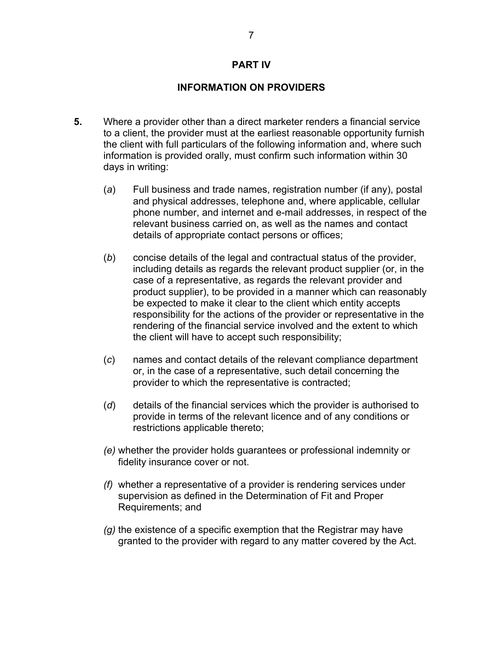#### **PART IV**

### **INFORMATION ON PROVIDERS**

- **5.** Where a provider other than a direct marketer renders a financial service to a client, the provider must at the earliest reasonable opportunity furnish the client with full particulars of the following information and, where such information is provided orally, must confirm such information within 30 days in writing:
	- (*a*) Full business and trade names, registration number (if any), postal and physical addresses, telephone and, where applicable, cellular phone number, and internet and e-mail addresses, in respect of the relevant business carried on, as well as the names and contact details of appropriate contact persons or offices;
	- (*b*) concise details of the legal and contractual status of the provider, including details as regards the relevant product supplier (or, in the case of a representative, as regards the relevant provider and product supplier), to be provided in a manner which can reasonably be expected to make it clear to the client which entity accepts responsibility for the actions of the provider or representative in the rendering of the financial service involved and the extent to which the client will have to accept such responsibility;
	- (*c*) names and contact details of the relevant compliance department or, in the case of a representative, such detail concerning the provider to which the representative is contracted;
	- (*d*) details of the financial services which the provider is authorised to provide in terms of the relevant licence and of any conditions or restrictions applicable thereto;
	- *(e)* whether the provider holds guarantees or professional indemnity or fidelity insurance cover or not.
	- *(f)* whether a representative of a provider is rendering services under supervision as defined in the Determination of Fit and Proper Requirements; and
	- *(g)* the existence of a specific exemption that the Registrar may have granted to the provider with regard to any matter covered by the Act.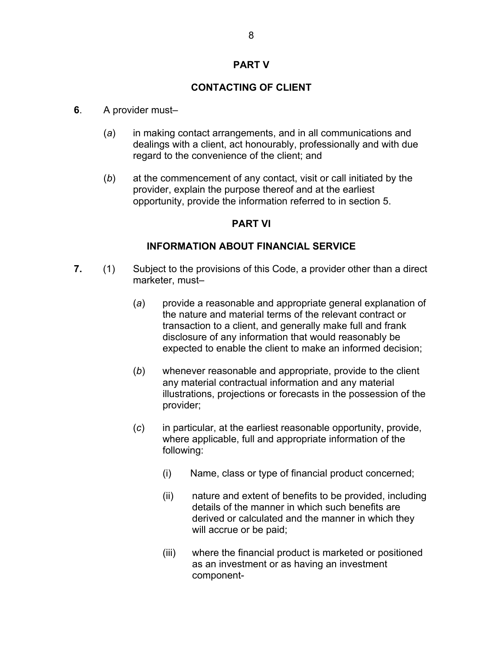### **PART V**

## **CONTACTING OF CLIENT**

#### **6**. A provider must–

- (*a*) in making contact arrangements, and in all communications and dealings with a client, act honourably, professionally and with due regard to the convenience of the client; and
- (*b*) at the commencement of any contact, visit or call initiated by the provider, explain the purpose thereof and at the earliest opportunity, provide the information referred to in section 5.

#### **PART VI**

#### **INFORMATION ABOUT FINANCIAL SERVICE**

- **7.** (1) Subject to the provisions of this Code, a provider other than a direct marketer, must–
	- (*a*) provide a reasonable and appropriate general explanation of the nature and material terms of the relevant contract or transaction to a client, and generally make full and frank disclosure of any information that would reasonably be expected to enable the client to make an informed decision;
	- (*b*) whenever reasonable and appropriate, provide to the client any material contractual information and any material illustrations, projections or forecasts in the possession of the provider;
	- (*c*) in particular, at the earliest reasonable opportunity, provide, where applicable, full and appropriate information of the following:
		- (i) Name, class or type of financial product concerned;
		- (ii) nature and extent of benefits to be provided, including details of the manner in which such benefits are derived or calculated and the manner in which they will accrue or be paid;
		- (iii) where the financial product is marketed or positioned as an investment or as having an investment component-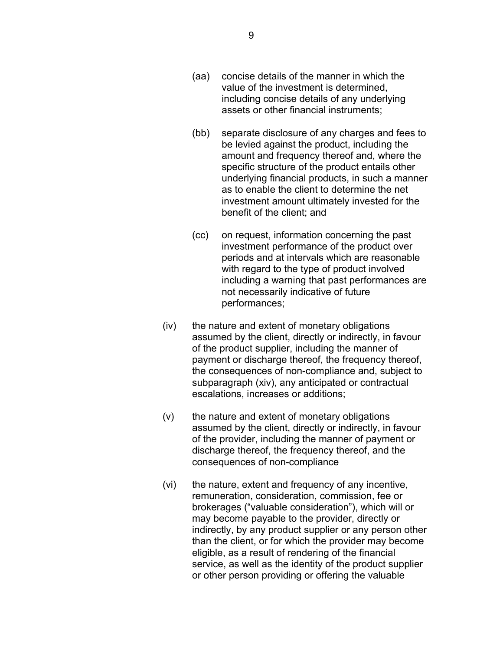- (aa) concise details of the manner in which the value of the investment is determined, including concise details of any underlying assets or other financial instruments;
- (bb) separate disclosure of any charges and fees to be levied against the product, including the amount and frequency thereof and, where the specific structure of the product entails other underlying financial products, in such a manner as to enable the client to determine the net investment amount ultimately invested for the benefit of the client; and
- (cc) on request, information concerning the past investment performance of the product over periods and at intervals which are reasonable with regard to the type of product involved including a warning that past performances are not necessarily indicative of future performances;
- (iv) the nature and extent of monetary obligations assumed by the client, directly or indirectly, in favour of the product supplier, including the manner of payment or discharge thereof, the frequency thereof, the consequences of non-compliance and, subject to subparagraph (xiv), any anticipated or contractual escalations, increases or additions;
- (v) the nature and extent of monetary obligations assumed by the client, directly or indirectly, in favour of the provider, including the manner of payment or discharge thereof, the frequency thereof, and the consequences of non-compliance
- (vi) the nature, extent and frequency of any incentive, remuneration, consideration, commission, fee or brokerages ("valuable consideration"), which will or may become payable to the provider, directly or indirectly, by any product supplier or any person other than the client, or for which the provider may become eligible, as a result of rendering of the financial service, as well as the identity of the product supplier or other person providing or offering the valuable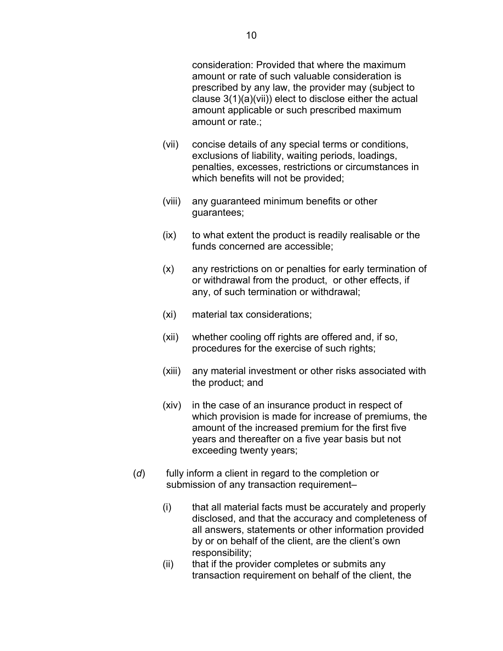consideration: Provided that where the maximum amount or rate of such valuable consideration is prescribed by any law, the provider may (subject to clause 3(1)(a)(vii)) elect to disclose either the actual amount applicable or such prescribed maximum amount or rate.;

- (vii) concise details of any special terms or conditions, exclusions of liability, waiting periods, loadings, penalties, excesses, restrictions or circumstances in which benefits will not be provided;
- (viii) any guaranteed minimum benefits or other guarantees;
- (ix) to what extent the product is readily realisable or the funds concerned are accessible;
- (x) any restrictions on or penalties for early termination of or withdrawal from the product, or other effects, if any, of such termination or withdrawal;
- (xi) material tax considerations;
- (xii) whether cooling off rights are offered and, if so, procedures for the exercise of such rights;
- (xiii) any material investment or other risks associated with the product; and
- (xiv) in the case of an insurance product in respect of which provision is made for increase of premiums, the amount of the increased premium for the first five years and thereafter on a five year basis but not exceeding twenty years;
- (*d*) fully inform a client in regard to the completion or submission of any transaction requirement–
	- (i) that all material facts must be accurately and properly disclosed, and that the accuracy and completeness of all answers, statements or other information provided by or on behalf of the client, are the client's own responsibility;
	- (ii) that if the provider completes or submits any transaction requirement on behalf of the client, the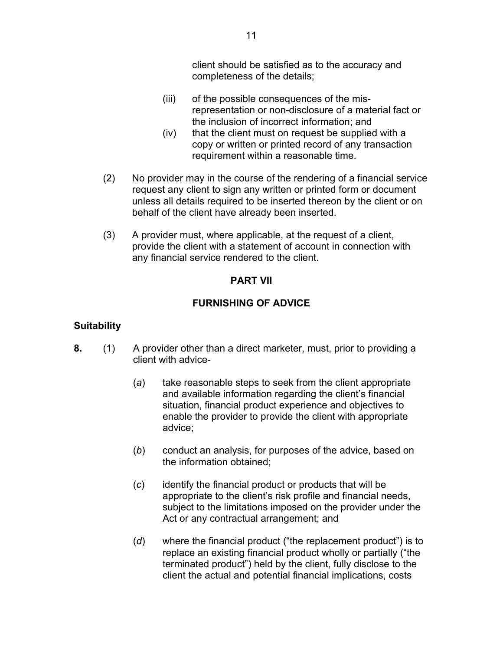client should be satisfied as to the accuracy and completeness of the details;

- (iii) of the possible consequences of the misrepresentation or non-disclosure of a material fact or the inclusion of incorrect information; and
- (iv) that the client must on request be supplied with a copy or written or printed record of any transaction requirement within a reasonable time.
- (2) No provider may in the course of the rendering of a financial service request any client to sign any written or printed form or document unless all details required to be inserted thereon by the client or on behalf of the client have already been inserted.
- (3) A provider must, where applicable, at the request of a client, provide the client with a statement of account in connection with any financial service rendered to the client.

# **PART VII**

# **FURNISHING OF ADVICE**

# **Suitability**

- **8.** (1) A provider other than a direct marketer, must, prior to providing a client with advice-
	- (*a*) take reasonable steps to seek from the client appropriate and available information regarding the client's financial situation, financial product experience and objectives to enable the provider to provide the client with appropriate advice;
	- (*b*) conduct an analysis, for purposes of the advice, based on the information obtained;
	- (*c*) identify the financial product or products that will be appropriate to the client's risk profile and financial needs, subject to the limitations imposed on the provider under the Act or any contractual arrangement; and
	- (*d*) where the financial product ("the replacement product") is to replace an existing financial product wholly or partially ("the terminated product") held by the client, fully disclose to the client the actual and potential financial implications, costs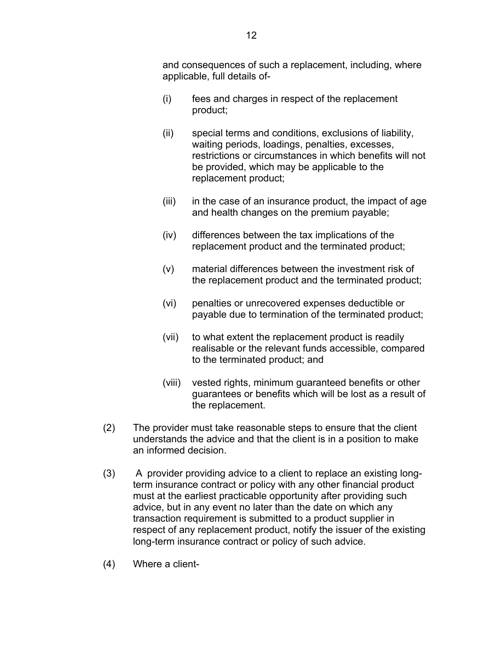and consequences of such a replacement, including, where applicable, full details of-

- (i) fees and charges in respect of the replacement product;
- (ii) special terms and conditions, exclusions of liability, waiting periods, loadings, penalties, excesses, restrictions or circumstances in which benefits will not be provided, which may be applicable to the replacement product;
- $(iii)$  in the case of an insurance product, the impact of age and health changes on the premium payable;
- (iv) differences between the tax implications of the replacement product and the terminated product;
- (v) material differences between the investment risk of the replacement product and the terminated product;
- (vi) penalties or unrecovered expenses deductible or payable due to termination of the terminated product;
- (vii) to what extent the replacement product is readily realisable or the relevant funds accessible, compared to the terminated product; and
- (viii) vested rights, minimum guaranteed benefits or other guarantees or benefits which will be lost as a result of the replacement.
- (2) The provider must take reasonable steps to ensure that the client understands the advice and that the client is in a position to make an informed decision.
- (3)A provider providing advice to a client to replace an existing longterm insurance contract or policy with any other financial product must at the earliest practicable opportunity after providing such advice, but in any event no later than the date on which any transaction requirement is submitted to a product supplier in respect of any replacement product, notify the issuer of the existing long-term insurance contract or policy of such advice.
- (4) Where a client-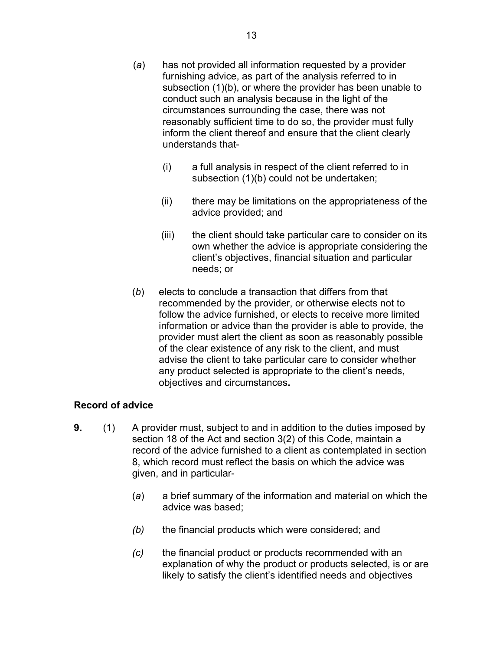- (*a*) has not provided all information requested by a provider furnishing advice, as part of the analysis referred to in subsection (1)(b), or where the provider has been unable to conduct such an analysis because in the light of the circumstances surrounding the case, there was not reasonably sufficient time to do so, the provider must fully inform the client thereof and ensure that the client clearly understands that-
	- (i) a full analysis in respect of the client referred to in subsection (1)(b) could not be undertaken;
	- (ii) there may be limitations on the appropriateness of the advice provided; and
	- (iii) the client should take particular care to consider on its own whether the advice is appropriate considering the client's objectives, financial situation and particular needs; or
- (*b*) elects to conclude a transaction that differs from that recommended by the provider, or otherwise elects not to follow the advice furnished, or elects to receive more limited information or advice than the provider is able to provide, the provider must alert the client as soon as reasonably possible of the clear existence of any risk to the client, and must advise the client to take particular care to consider whether any product selected is appropriate to the client's needs, objectives and circumstances**.**

# **Record of advice**

- **9.** (1) A provider must, subject to and in addition to the duties imposed by section 18 of the Act and section 3(2) of this Code, maintain a record of the advice furnished to a client as contemplated in section 8, which record must reflect the basis on which the advice was given, and in particular-
	- (*a*) a brief summary of the information and material on which the advice was based;
	- *(b)* the financial products which were considered; and
	- *(c)* the financial product or products recommended with an explanation of why the product or products selected, is or are likely to satisfy the client's identified needs and objectives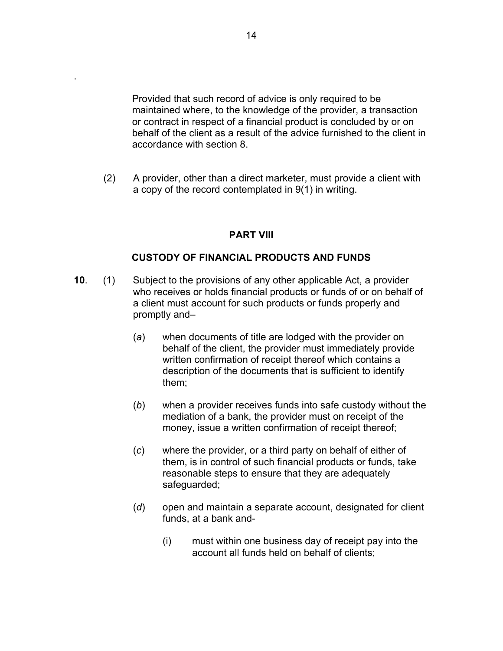Provided that such record of advice is only required to be maintained where, to the knowledge of the provider, a transaction or contract in respect of a financial product is concluded by or on behalf of the client as a result of the advice furnished to the client in accordance with section 8.

(2) A provider, other than a direct marketer, must provide a client with a copy of the record contemplated in 9(1) in writing.

### **PART VIII**

## **CUSTODY OF FINANCIAL PRODUCTS AND FUNDS**

- **10**. (1) Subject to the provisions of any other applicable Act, a provider who receives or holds financial products or funds of or on behalf of a client must account for such products or funds properly and promptly and–
	- (*a*) when documents of title are lodged with the provider on behalf of the client, the provider must immediately provide written confirmation of receipt thereof which contains a description of the documents that is sufficient to identify them;
	- (*b*) when a provider receives funds into safe custody without the mediation of a bank, the provider must on receipt of the money, issue a written confirmation of receipt thereof;
	- (*c*) where the provider, or a third party on behalf of either of them, is in control of such financial products or funds, take reasonable steps to ensure that they are adequately safeguarded;
	- (*d*) open and maintain a separate account, designated for client funds, at a bank and-
		- (i) must within one business day of receipt pay into the account all funds held on behalf of clients;

.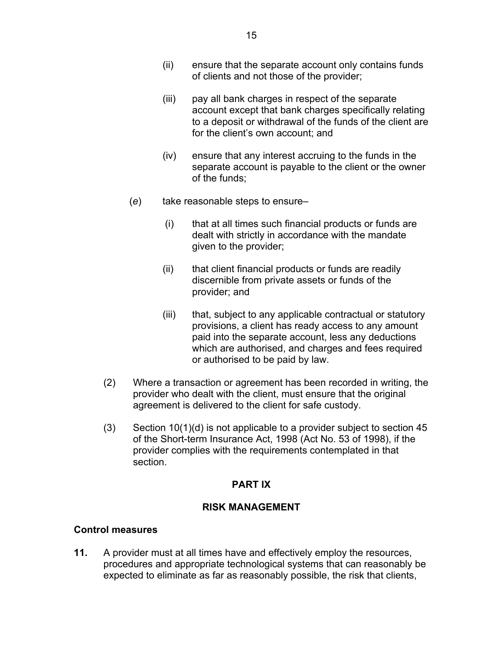- (ii) ensure that the separate account only contains funds of clients and not those of the provider;
- (iii) pay all bank charges in respect of the separate account except that bank charges specifically relating to a deposit or withdrawal of the funds of the client are for the client's own account; and
- (iv) ensure that any interest accruing to the funds in the separate account is payable to the client or the owner of the funds;
- (*e*) take reasonable steps to ensure–
	- (i) that at all times such financial products or funds are dealt with strictly in accordance with the mandate given to the provider;
	- (ii) that client financial products or funds are readily discernible from private assets or funds of the provider; and
	- (iii) that, subject to any applicable contractual or statutory provisions, a client has ready access to any amount paid into the separate account, less any deductions which are authorised, and charges and fees required or authorised to be paid by law.
- (2) Where a transaction or agreement has been recorded in writing, the provider who dealt with the client, must ensure that the original agreement is delivered to the client for safe custody.
- $(3)$  Section 10(1)(d) is not applicable to a provider subject to section 45 of the Short-term Insurance Act, 1998 (Act No. 53 of 1998), if the provider complies with the requirements contemplated in that section.

# **PART IX**

# **RISK MANAGEMENT**

# **Control measures**

**11.** A provider must at all times have and effectively employ the resources, procedures and appropriate technological systems that can reasonably be expected to eliminate as far as reasonably possible, the risk that clients,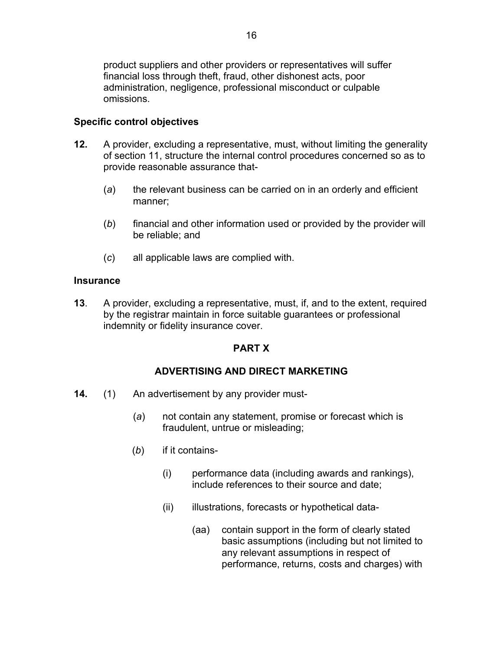product suppliers and other providers or representatives will suffer financial loss through theft, fraud, other dishonest acts, poor administration, negligence, professional misconduct or culpable omissions.

# **Specific control objectives**

- **12.** A provider, excluding a representative, must, without limiting the generality of section 11, structure the internal control procedures concerned so as to provide reasonable assurance that-
	- (*a*) the relevant business can be carried on in an orderly and efficient manner;
	- (*b*) financial and other information used or provided by the provider will be reliable; and
	- (*c*) all applicable laws are complied with.

# **Insurance**

**13**. A provider, excluding a representative, must, if, and to the extent, required by the registrar maintain in force suitable guarantees or professional indemnity or fidelity insurance cover.

# **PART X**

# **ADVERTISING AND DIRECT MARKETING**

- **14.** (1) An advertisement by any provider must-
	- (*a*) not contain any statement, promise or forecast which is fraudulent, untrue or misleading;
	- (*b*) if it contains-
		- (i) performance data (including awards and rankings), include references to their source and date;
		- (ii) illustrations, forecasts or hypothetical data-
			- (aa) contain support in the form of clearly stated basic assumptions (including but not limited to any relevant assumptions in respect of performance, returns, costs and charges) with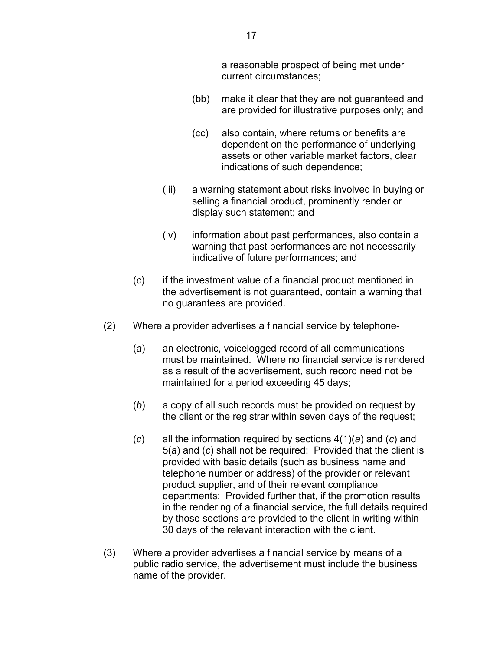a reasonable prospect of being met under current circumstances;

- (bb) make it clear that they are not guaranteed and are provided for illustrative purposes only; and
- (cc) also contain, where returns or benefits are dependent on the performance of underlying assets or other variable market factors, clear indications of such dependence;
- (iii) a warning statement about risks involved in buying or selling a financial product, prominently render or display such statement; and
- (iv) information about past performances, also contain a warning that past performances are not necessarily indicative of future performances; and
- (*c*) if the investment value of a financial product mentioned in the advertisement is not guaranteed, contain a warning that no guarantees are provided.
- (2) Where a provider advertises a financial service by telephone-
	- (*a*) an electronic, voicelogged record of all communications must be maintained. Where no financial service is rendered as a result of the advertisement, such record need not be maintained for a period exceeding 45 days;
	- (*b*) a copy of all such records must be provided on request by the client or the registrar within seven days of the request;
	- (*c*) all the information required by sections 4(1)(*a*) and (*c*) and 5(*a*) and (*c*) shall not be required: Provided that the client is provided with basic details (such as business name and telephone number or address) of the provider or relevant product supplier, and of their relevant compliance departments: Provided further that, if the promotion results in the rendering of a financial service, the full details required by those sections are provided to the client in writing within 30 days of the relevant interaction with the client.
- (3) Where a provider advertises a financial service by means of a public radio service, the advertisement must include the business name of the provider.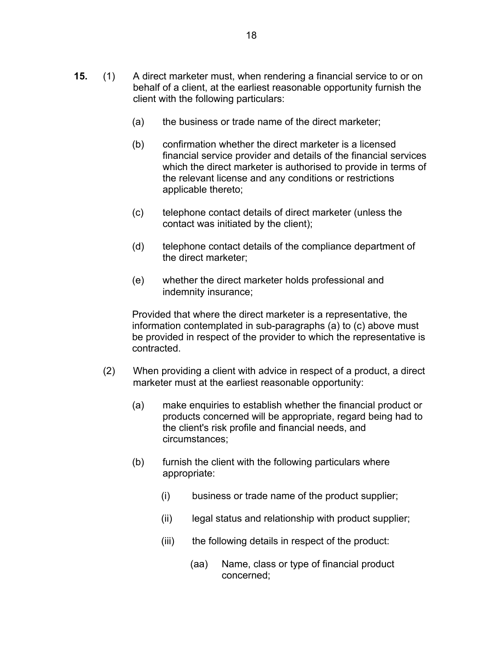- **15.** (1) A direct marketer must, when rendering a financial service to or on behalf of a client, at the earliest reasonable opportunity furnish the client with the following particulars:
	- (a) the business or trade name of the direct marketer;
	- (b) confirmation whether the direct marketer is a licensed financial service provider and details of the financial services which the direct marketer is authorised to provide in terms of the relevant license and any conditions or restrictions applicable thereto;
	- (c) telephone contact details of direct marketer (unless the contact was initiated by the client);
	- (d) telephone contact details of the compliance department of the direct marketer;
	- (e) whether the direct marketer holds professional and indemnity insurance;

Provided that where the direct marketer is a representative, the information contemplated in sub-paragraphs (a) to (c) above must be provided in respect of the provider to which the representative is contracted.

- (2) When providing a client with advice in respect of a product, a direct marketer must at the earliest reasonable opportunity:
	- (a) make enquiries to establish whether the financial product or products concerned will be appropriate, regard being had to the client's risk profile and financial needs, and circumstances;
	- (b) furnish the client with the following particulars where appropriate:
		- (i) business or trade name of the product supplier;
		- (ii) legal status and relationship with product supplier;
		- (iii) the following details in respect of the product:
			- (aa) Name, class or type of financial product concerned;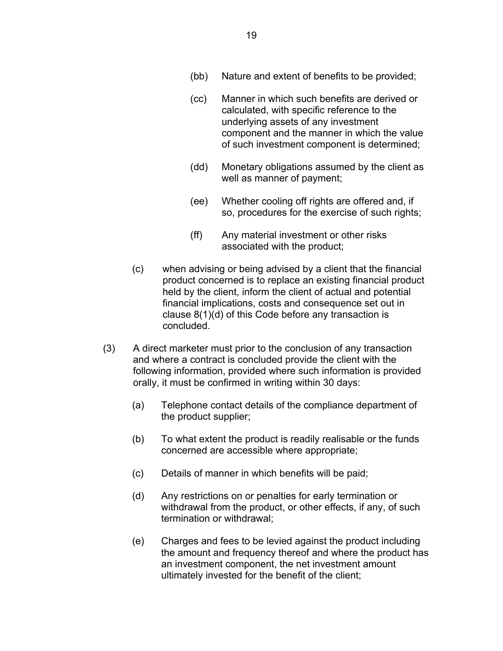- (bb) Nature and extent of benefits to be provided;
- (cc) Manner in which such benefits are derived or calculated, with specific reference to the underlying assets of any investment component and the manner in which the value of such investment component is determined;
- (dd) Monetary obligations assumed by the client as well as manner of payment;
- (ee) Whether cooling off rights are offered and, if so, procedures for the exercise of such rights;
- (ff) Any material investment or other risks associated with the product;
- (c) when advising or being advised by a client that the financial product concerned is to replace an existing financial product held by the client, inform the client of actual and potential financial implications, costs and consequence set out in clause 8(1)(d) of this Code before any transaction is concluded.
- (3) A direct marketer must prior to the conclusion of any transaction and where a contract is concluded provide the client with the following information, provided where such information is provided orally, it must be confirmed in writing within 30 days:
	- (a) Telephone contact details of the compliance department of the product supplier;
	- (b) To what extent the product is readily realisable or the funds concerned are accessible where appropriate;
	- (c) Details of manner in which benefits will be paid;
	- (d) Any restrictions on or penalties for early termination or withdrawal from the product, or other effects, if any, of such termination or withdrawal;
	- (e) Charges and fees to be levied against the product including the amount and frequency thereof and where the product has an investment component, the net investment amount ultimately invested for the benefit of the client;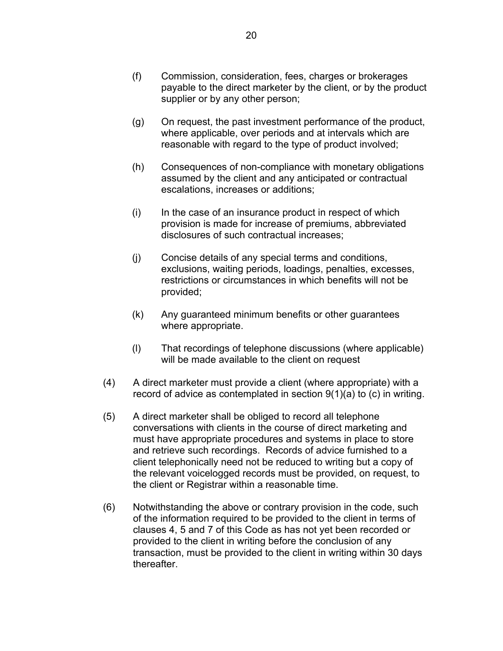- (f) Commission, consideration, fees, charges or brokerages payable to the direct marketer by the client, or by the product supplier or by any other person;
- (g) On request, the past investment performance of the product, where applicable, over periods and at intervals which are reasonable with regard to the type of product involved;
- (h) Consequences of non-compliance with monetary obligations assumed by the client and any anticipated or contractual escalations, increases or additions;
- (i) In the case of an insurance product in respect of which provision is made for increase of premiums, abbreviated disclosures of such contractual increases;
- (j) Concise details of any special terms and conditions, exclusions, waiting periods, loadings, penalties, excesses, restrictions or circumstances in which benefits will not be provided;
- (k) Any guaranteed minimum benefits or other guarantees where appropriate.
- (l) That recordings of telephone discussions (where applicable) will be made available to the client on request
- (4) A direct marketer must provide a client (where appropriate) with a record of advice as contemplated in section 9(1)(a) to (c) in writing.
- (5) A direct marketer shall be obliged to record all telephone conversations with clients in the course of direct marketing and must have appropriate procedures and systems in place to store and retrieve such recordings. Records of advice furnished to a client telephonically need not be reduced to writing but a copy of the relevant voicelogged records must be provided, on request, to the client or Registrar within a reasonable time.
- (6) Notwithstanding the above or contrary provision in the code, such of the information required to be provided to the client in terms of clauses 4, 5 and 7 of this Code as has not yet been recorded or provided to the client in writing before the conclusion of any transaction, must be provided to the client in writing within 30 days thereafter.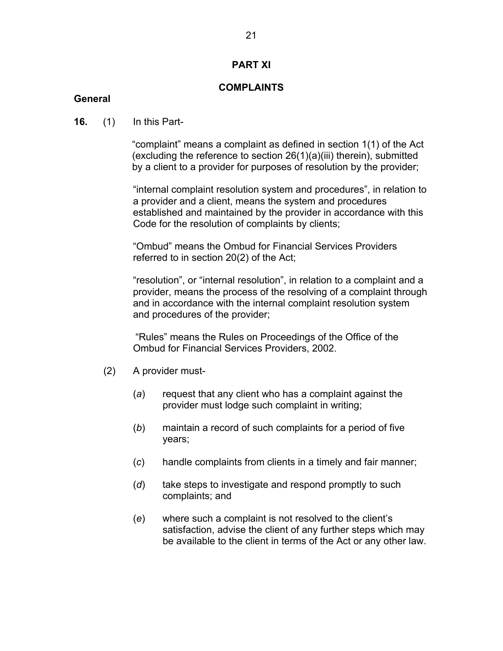### **PART XI**

## **COMPLAINTS**

### **General**

### **16.** (1) In this Part-

 "complaint" means a complaint as defined in section 1(1) of the Act (excluding the reference to section 26(1)(a)(iii) therein), submitted by a client to a provider for purposes of resolution by the provider;

"internal complaint resolution system and procedures", in relation to a provider and a client, means the system and procedures established and maintained by the provider in accordance with this Code for the resolution of complaints by clients;

"Ombud" means the Ombud for Financial Services Providers referred to in section 20(2) of the Act;

"resolution", or "internal resolution", in relation to a complaint and a provider, means the process of the resolving of a complaint through and in accordance with the internal complaint resolution system and procedures of the provider;

"Rules" means the Rules on Proceedings of the Office of the Ombud for Financial Services Providers, 2002.

- (2) A provider must-
	- (*a*) request that any client who has a complaint against the provider must lodge such complaint in writing;
	- (*b*) maintain a record of such complaints for a period of five years;
	- (*c*) handle complaints from clients in a timely and fair manner;
	- (*d*) take steps to investigate and respond promptly to such complaints; and
	- (*e*) where such a complaint is not resolved to the client's satisfaction, advise the client of any further steps which may be available to the client in terms of the Act or any other law.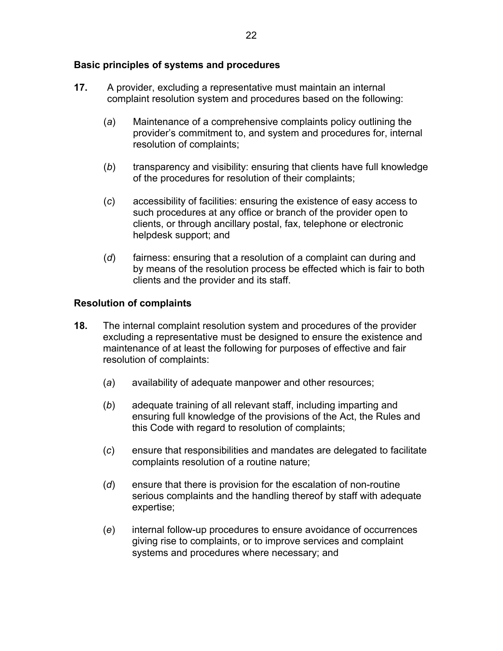## **Basic principles of systems and procedures**

- **17.** A provider, excluding a representative must maintain an internal complaint resolution system and procedures based on the following:
	- (*a*) Maintenance of a comprehensive complaints policy outlining the provider's commitment to, and system and procedures for, internal resolution of complaints;
	- (*b*) transparency and visibility: ensuring that clients have full knowledge of the procedures for resolution of their complaints;
	- (*c*) accessibility of facilities: ensuring the existence of easy access to such procedures at any office or branch of the provider open to clients, or through ancillary postal, fax, telephone or electronic helpdesk support; and
	- (*d*) fairness: ensuring that a resolution of a complaint can during and by means of the resolution process be effected which is fair to both clients and the provider and its staff.

### **Resolution of complaints**

- **18.** The internal complaint resolution system and procedures of the provider excluding a representative must be designed to ensure the existence and maintenance of at least the following for purposes of effective and fair resolution of complaints:
	- (*a*) availability of adequate manpower and other resources;
	- (*b*) adequate training of all relevant staff, including imparting and ensuring full knowledge of the provisions of the Act, the Rules and this Code with regard to resolution of complaints;
	- (*c*) ensure that responsibilities and mandates are delegated to facilitate complaints resolution of a routine nature;
	- (*d*) ensure that there is provision for the escalation of non-routine serious complaints and the handling thereof by staff with adequate expertise;
	- (*e*) internal follow-up procedures to ensure avoidance of occurrences giving rise to complaints, or to improve services and complaint systems and procedures where necessary; and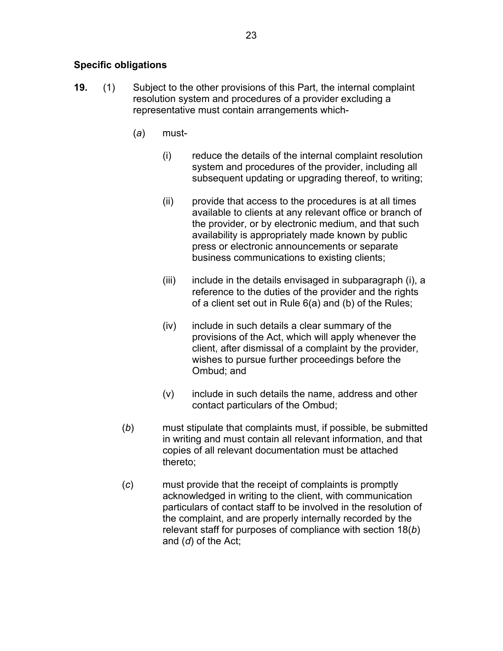# **Specific obligations**

- **19.** (1) Subject to the other provisions of this Part, the internal complaint resolution system and procedures of a provider excluding a representative must contain arrangements which-
	- (*a*) must-
		- (i) reduce the details of the internal complaint resolution system and procedures of the provider, including all subsequent updating or upgrading thereof, to writing;
		- (ii) provide that access to the procedures is at all times available to clients at any relevant office or branch of the provider, or by electronic medium, and that such availability is appropriately made known by public press or electronic announcements or separate business communications to existing clients;
		- (iii) include in the details envisaged in subparagraph (i), a reference to the duties of the provider and the rights of a client set out in Rule 6(a) and (b) of the Rules;
		- (iv) include in such details a clear summary of the provisions of the Act, which will apply whenever the client, after dismissal of a complaint by the provider, wishes to pursue further proceedings before the Ombud; and
		- (v) include in such details the name, address and other contact particulars of the Ombud;
	- (*b*) must stipulate that complaints must, if possible, be submitted in writing and must contain all relevant information, and that copies of all relevant documentation must be attached thereto;
	- (*c*) must provide that the receipt of complaints is promptly acknowledged in writing to the client, with communication particulars of contact staff to be involved in the resolution of the complaint, and are properly internally recorded by the relevant staff for purposes of compliance with section 18(*b*) and (*d*) of the Act;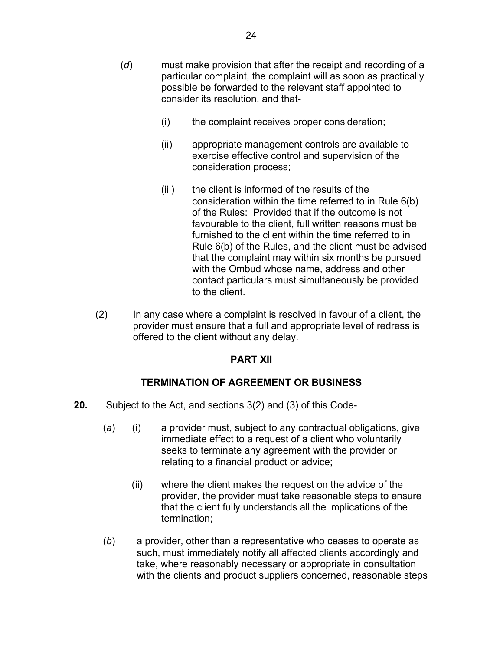- (*d*) must make provision that after the receipt and recording of a particular complaint, the complaint will as soon as practically possible be forwarded to the relevant staff appointed to consider its resolution, and that-
	- (i) the complaint receives proper consideration;
	- (ii) appropriate management controls are available to exercise effective control and supervision of the consideration process;
	- (iii) the client is informed of the results of the consideration within the time referred to in Rule 6(b) of the Rules: Provided that if the outcome is not favourable to the client, full written reasons must be furnished to the client within the time referred to in Rule 6(b) of the Rules, and the client must be advised that the complaint may within six months be pursued with the Ombud whose name, address and other contact particulars must simultaneously be provided to the client.
- (2) In any case where a complaint is resolved in favour of a client, the provider must ensure that a full and appropriate level of redress is offered to the client without any delay.

### **PART XII**

### **TERMINATION OF AGREEMENT OR BUSINESS**

- **20.** Subject to the Act, and sections 3(2) and (3) of this Code-
	- (*a*) (i) a provider must, subject to any contractual obligations, give immediate effect to a request of a client who voluntarily seeks to terminate any agreement with the provider or relating to a financial product or advice;
		- (ii) where the client makes the request on the advice of the provider, the provider must take reasonable steps to ensure that the client fully understands all the implications of the termination;
	- (*b*) a provider, other than a representative who ceases to operate as such, must immediately notify all affected clients accordingly and take, where reasonably necessary or appropriate in consultation with the clients and product suppliers concerned, reasonable steps